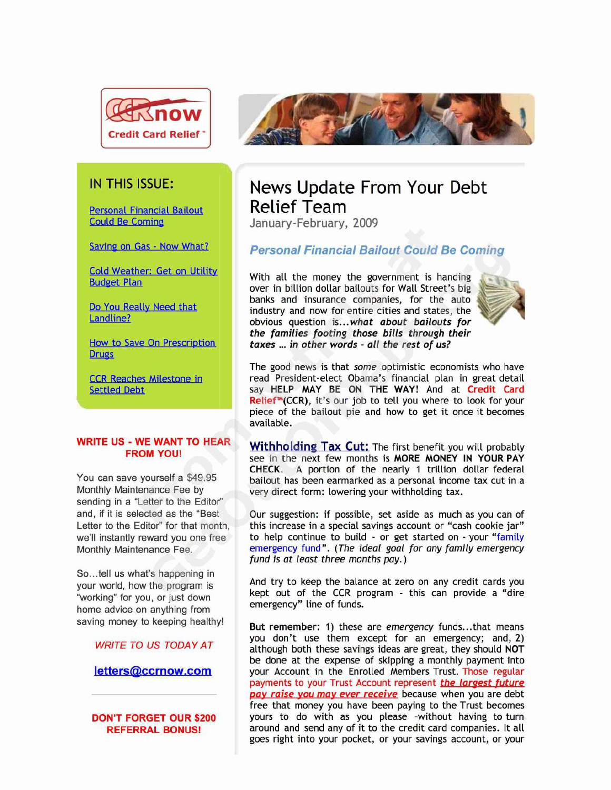

Personal Financial Bailout Relief Team

**Drugs** 

sending in a "Letter to the Editor"

So...tell us what's happening in home advice on anything from



# IN THIS ISSUE: News Update From Your Debt

January-February, 2009

## Saving on Gas - Now What? **Personal Financial Bailout Could Be Coming**

Cold Weather: Get on Utility With all the money the government is handing<br>Budget Plan over in billion dollar bailouts for Wall Street's big banks and insurance companies, for the auto Do You Really Need that industry and momentum cities and states, the Landline?<br>
Landline? **Called that industry and now for entire cities and states, the obvious question is...what <b>about bailouts for** the families footing those bills through their How to Save On Prescription taxes ... in other words - all the rest of us?



The good news is that some optimistic economists who have **CCR Reaches Milestone in** read President-elect Obama's financial plan in great detail<br>Settled Debt say HELP MAY BE ON THE WAY! And at Credit Card say HELP MAY BE ON THE WAY! And at **Credit Card Relief™(CCR),** it's our job to tell you where to look for your piece of the bailout pie and how to get it once it becomes available.

**WRITE US - WE WANT TO HEAR Withholding Tax Cut:** The first benefit you will probably see in the next few months is MORE MONEY IN YOUR PAY **CHECK.** A portion of the nearly 1 trillion dollar federal You can save yourself a \$49.95 bailout has been earmarked as a personal income tax cut in a<br>Monthly Maintenance Fee by erv direct form: lowering your withholding tax. very direct form: lowering your withholding tax.

and, if it is selected as the "Best Our suggestion: if possible, set aside as much as you can of Letter to the Editor" for that month, this increase in a special savings account or "cash cookie jar" we'll instantly reward you one free to help continue to build - or get started on - your "family Monthly Maintenance Fee. emergency fund". (The ideal goal for any family emergency fund is at least three months pay. )

your world, how the program is And try to keep the balance at zero on any credit cards you your world, now the program to<br>"working" for you, or just down emergency" line of funds.

saving money to keeping healthy! **But remember:** 1) these are emergency funds...that means you don't use them except for an emergency; and, 2) WRITE TO US TODAY AT although both these savings ideas are great, they should NOT be done at the expense of skipping a monthly payment into **letters @ccrnow.com** your Account in the Enrolled Members Trust. Those regular payments to your Trust Account represent the largest future pay raise you may ever receive because when you are debt free that money you have been paying to the Trust becomes **DON'T FORGET OUR \$200** yours to do with as you please -without having to turn **REFERRAL BONUS!** around and send any of it to the credit card companies. It all goes right into your pocket, or your savings account, or your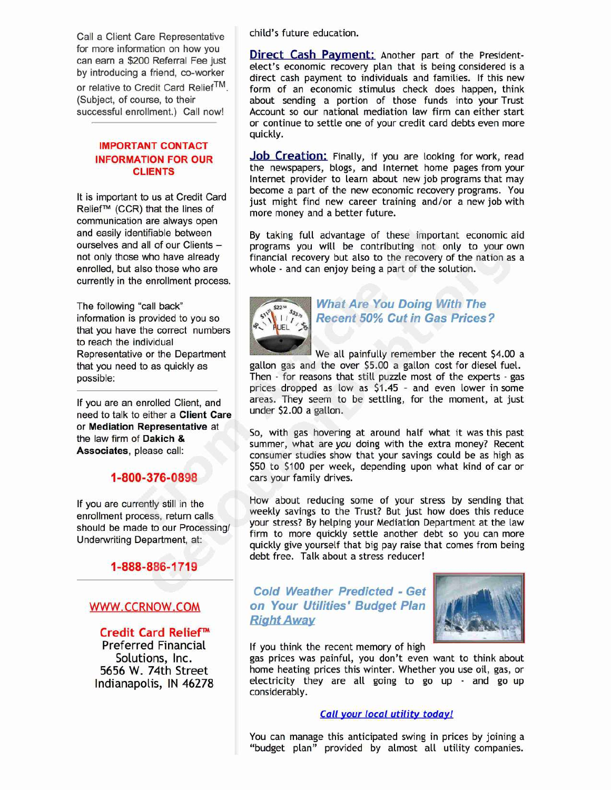Call a Client Care Representative child's future education. for more information on how you

## **IMPORTANT CONTACT**

communication are always open currently in the enrollment process.

that you have the correct numbers to reach the individual

need to talk to either a **Client Care** 

**1-888-886-1719**

**Credit Card Relief** eferred Financial The Mannisthe recent memory of high<br>Solutions, Inc. The asseptices was painful, you don't even

For more information on now you<br>can earn a \$200 Referral Fee just elect's economic recovery plan that is being considered is a by introducing a friend, co-worker<br>or relative to Credit Card Relief<sup>TM</sup>. form of an economic stimulus check does happen, think or relative to Credit Card Relief<sup>™</sup>. form of an economic stimulus check does happen, think (Subject, of course, to their about sending a portion of those funds into your Trust (Subject, of course, to their about sending a portion of those funds into your Trust successful enrollment.) Call now! Account so our national mediation law firm can either start Account so our national mediation law firm can either start or continue to settle one of your credit card debts even more quickly.

**INFORMATION FOR OUR Job Creation:** Finally, if you are looking for work, read **CLIENTS** the newspapers, blogs, and Internet home pages from your Internet provider to learn about new job programs that may It is important to us at Credit Card become a part of the new economic recovery programs. You<br>
It is important to us at Credit Card instanting interval ind new career training and/or a new job with<br>
more money and a bette

and easily identifiable between By taking full advantage of these important economic aid<br>ourselves and all of our Clients – programs you will be contributing not only to your own ourselves and all of our Clients – programs you will be contributing not only to your own<br>not only those who have already financial recovery but also to the recovery of the nation as a financial recovery but also to the recovery of the nation as a enrolled, but also those who are whole - and can enjoy being a part of the solution.



## The following "call back"<br>
information is provided to you so<br>
that you have the correct numbers<br> **ALLOCALLY ARE Recent 50% Cut in Gas Prices** information is provided to you so **Recent 50% Cut in Gas Prices?**

Representative or the Department We all painfully remember the recent \$4.00 a that you need to as quickly as gallon gas and the over \$5.00 a gallon cost for diesel fuel. possible: Then - for reasons that still puzzle most of the experts - gas prices dropped as low as 51.45 — and even lower in some If you are an enrolled Client, and areas. They seem to be settling, for the moment, at just<br>need to talk to either a Client Care under \$2.00 a gallon.

or Mediation Representative at So, with gas hovering at around half what it was this past<br>the law firm of Dakich & summer, what are you doing with the extra money? Recent<br>Associates, please call: consumer studies show that 550 to 5100 per week, depending upon what kind of car or **1-800-376-0898** cars your family drives.

If you are currently still in the How about reducing some of your stress by sending that<br>
weekly savings to the Trust? But just how does this reduce enrollment process, return calls<br>should be made to our Processing/<br>Underwriting Department, at:<br>Underwriting Department, at:<br>give yourself that big pay raise that comes from being debt free. Talk about a stress reducer!

**Cold Weather Predicted - Get** WWW. CCRNOW. COM **on Your Utilities' Budget Plan Right Away** 



Solutions, Inc. gas prices was painful, you don't even want to think about 5656 W. 74th Street home heating prices this winter. Whether you use oil, gas, or home heating prices this winter. Whether you use oil, gas, or Indianapolis, IN 46278 electricity they are all going to go up - and go up considerably.

## **Call your local utility today!**

You can manage this anticipated swing in prices by joining a "budget plan" provided by almost all utility companies.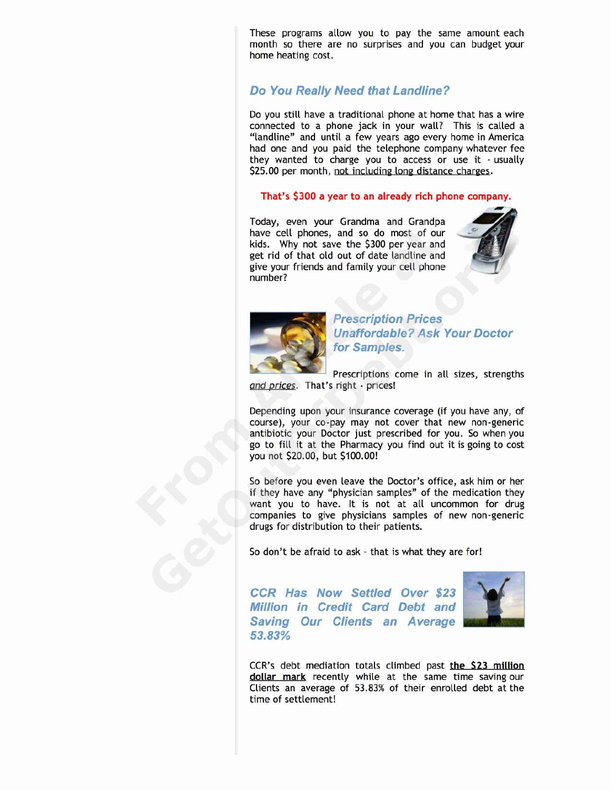These programs allow you to pay the same amount each month so there are no surprises and you can budget your home heating cost.

## **Do You Really Need that Landline?**

Do you still have a traditional phone at home that has a wire connected to a phone jack in your wall? This is called a "landline" and until a few years ago every home in America had one and you paid the telephone company whatever fee they wanted to charge you to access or use it - usually \$25.00 per month, not including long distance charges.

## That's 5300 a year to an already rich phone company

Today, even your Grandma and Grandpa **ar** have cell phones, and so do most of our kids. Why not save the 5300 per year and get rid of that old out of date landline and give your friends and family your cell phone number?





**Prescription Prices Unaffordable? Ask Your Doctor for Samples.**

Prescriptions come in all sizes, strengths and prices. That's right - prices!

Depending upon your insurance coverage (if you have any, of course), your co-pay may not cover that new non-generic antibiotic your Doctor just prescribed for you. So when you go to fill it at the Pharmacy you find out it is going to cost you not 520.00, but 5100.00!

So before you even leave the Doctor's office, ask him or her if they have any "physician samples" of the medication they want you to have. It is not at all uncommon for drug companies to give physicians samples of new non-generic drugs for distribution to their patients.

So don't be afraid to ask — that is what they are for!

**CCR Has Now Settled Over \$23 Million in Credit Card Debt and Saving Our Clients an Average 53.S3%**



CCR's debt mediation totals climbed past the \$23 million **dollar mark** recently while at the same time saving our Clients an average of 53.83% of their enrolled debt at the time of settlement!